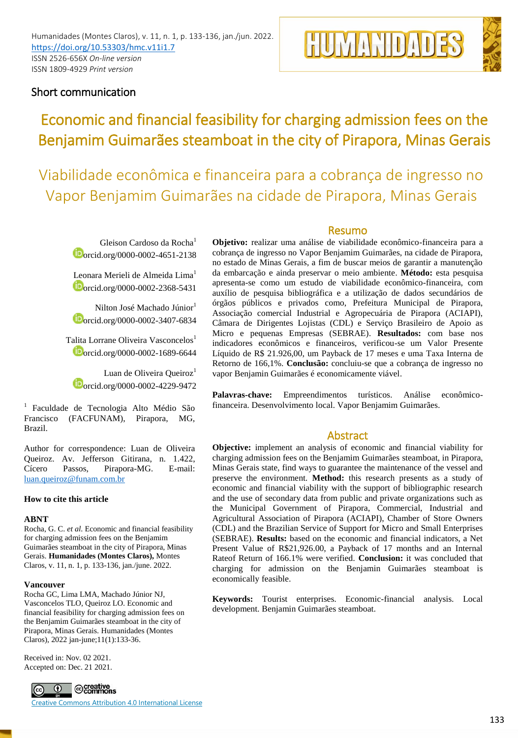



# Short communication

# Economic and financial feasibility for charging admission fees on the Benjamim Guimarães steamboat in the city of Pirapora, Minas Gerais

Viabilidade econômica e financeira para a cobrança de ingresso no Vapor Benjamim Guimarães na cidade de Pirapora, Minas Gerais

Gleison Cardoso da Rocha<sup>1</sup> orcid.org/0000-0002-4651-2138

Leonara Merieli de Almeida Lima<sup>1</sup> orcid.org/0000-0002-2368-5431

Nilton José Machado Júnior<sup>1</sup> orcid.org/0000-0002-3407-6834

Talita Lorrane Oliveira Vasconcelos<sup>1</sup> orcid.org/0000-0002-1689-6644

Luan de Oliveira Queiroz<sup>1</sup> orcid.org/0000-0002-4229-9472

<sup>1</sup> Faculdade de Tecnologia Alto Médio São Francisco (FACFUNAM), Pirapora, MG, Brazil.

Author for correspondence: Luan de Oliveira Queiroz. Av. Jefferson Gitirana, n. 1.422,<br>Cícero Passos, Pirapora-MG. E-mail: Passos, Pirapora-MG. E-mail: [luan.queiroz@funam.com.br](mailto:luan.queiroz@funam.com.br)

# **How to cite this article**

# **ABNT**

Rocha, G. C. *et al*. Economic and financial feasibility for charging admission fees on the Benjamim Guimarães steamboat in the city of Pirapora, Minas Gerais. **Humanidades (Montes Claros),** Montes Claros, v. 11, n. 1, p. 133-136, jan./june. 2022.

# **Vancouver**

Rocha GC, Lima LMA, Machado Júnior NJ, Vasconcelos TLO, Queiroz LO. Economic and financial feasibility for charging admission fees on the Benjamim Guimarães steamboat in the city of Pirapora, Minas Gerais. Humanidades (Montes Claros), 2022 jan-june;11(1):133-36.

Received in: Nov. 02 2021. Accepted on: Dec. 21 2021.



Creative Commons Attribution 4.0 International License

# Resumo

**Objetivo:** realizar uma análise de viabilidade econômico-financeira para a cobrança de ingresso no Vapor Benjamim Guimarães, na cidade de Pirapora, no estado de Minas Gerais, a fim de buscar meios de garantir a manutenção da embarcação e ainda preservar o meio ambiente. **Método:** esta pesquisa apresenta-se como um estudo de viabilidade econômico-financeira, com auxílio de pesquisa bibliográfica e a utilização de dados secundários de órgãos públicos e privados como, Prefeitura Municipal de Pirapora, Associação comercial Industrial e Agropecuária de Pirapora (ACIAPI), Câmara de Dirigentes Lojistas (CDL) e Serviço Brasileiro de Apoio as Micro e pequenas Empresas (SEBRAE). **Resultados:** com base nos indicadores econômicos e financeiros, verificou-se um Valor Presente Líquido de R\$ 21.926,00, um Payback de 17 meses e uma Taxa Interna de Retorno de 166,1%. **Conclusão:** concluiu-se que a cobrança de ingresso no vapor Benjamin Guimarães é economicamente viável.

**Palavras-chave:** Empreendimentos turísticos. Análise econômicofinanceira. Desenvolvimento local. Vapor Benjamim Guimarães.

# Abstract

**Objective:** implement an analysis of economic and financial viability for charging admission fees on the Benjamim Guimarães steamboat, in Pirapora, Minas Gerais state, find ways to guarantee the maintenance of the vessel and preserve the environment. **Method:** this research presents as a study of economic and financial viability with the support of bibliographic research and the use of secondary data from public and private organizations such as the Municipal Government of Pirapora, Commercial, Industrial and Agricultural Association of Pirapora (ACIAPI), Chamber of Store Owners (CDL) and the Brazilian Service of Support for Micro and Small Enterprises (SEBRAE). **Results:** based on the economic and financial indicators, a Net Present Value of R\$21,926.00, a Payback of 17 months and an Internal Rateof Return of 166.1% were verified. **Conclusion:** it was concluded that charging for admission on the Benjamin Guimarães steamboat is economically feasible.

**Keywords:** Tourist enterprises. Economic-financial analysis. Local development. Benjamin Guimarães steamboat.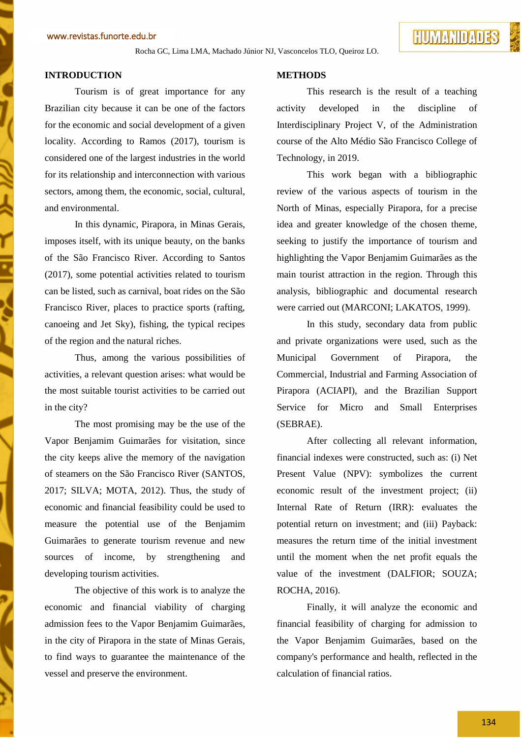Rocha GC, Lima LMA, Machado Júnior NJ, Vasconcelos TLO, Queiroz LO.

# **INTRODUCTION**

Tourism is of great importance for any Brazilian city because it can be one of the factors for the economic and social development of a given locality. According to Ramos (2017), tourism is considered one of the largest industries in the world for its relationship and interconnection with various sectors, among them, the economic, social, cultural, and environmental.

In this dynamic, Pirapora, in Minas Gerais, imposes itself, with its unique beauty, on the banks of the São Francisco River. According to Santos (2017), some potential activities related to tourism can be listed, such as carnival, boat rides on the São Francisco River, places to practice sports (rafting, canoeing and Jet Sky), fishing, the typical recipes of the region and the natural riches.

Thus, among the various possibilities of activities, a relevant question arises: what would be the most suitable tourist activities to be carried out in the city?

The most promising may be the use of the Vapor Benjamim Guimarães for visitation, since the city keeps alive the memory of the navigation of steamers on the São Francisco River (SANTOS, 2017; SILVA; MOTA, 2012). Thus, the study of economic and financial feasibility could be used to measure the potential use of the Benjamim Guimarães to generate tourism revenue and new sources of income, by strengthening and developing tourism activities.

The objective of this work is to analyze the economic and financial viability of charging admission fees to the Vapor Benjamim Guimarães, in the city of Pirapora in the state of Minas Gerais, to find ways to guarantee the maintenance of the vessel and preserve the environment.

# **METHODS**

This research is the result of a teaching activity developed in the discipline of Interdisciplinary Project V, of the Administration course of the Alto Médio São Francisco College of Technology, in 2019.

This work began with a bibliographic review of the various aspects of tourism in the North of Minas, especially Pirapora, for a precise idea and greater knowledge of the chosen theme, seeking to justify the importance of tourism and highlighting the Vapor Benjamim Guimarães as the main tourist attraction in the region. Through this analysis, bibliographic and documental research were carried out (MARCONI; LAKATOS, 1999).

In this study, secondary data from public and private organizations were used, such as the Municipal Government of Pirapora, the Commercial, Industrial and Farming Association of Pirapora (ACIAPI), and the Brazilian Support Service for Micro and Small Enterprises (SEBRAE).

After collecting all relevant information, financial indexes were constructed, such as: (i) Net Present Value (NPV): symbolizes the current economic result of the investment project; (ii) Internal Rate of Return (IRR): evaluates the potential return on investment; and (iii) Payback: measures the return time of the initial investment until the moment when the net profit equals the value of the investment (DALFIOR; SOUZA; ROCHA, 2016).

Finally, it will analyze the economic and financial feasibility of charging for admission to the Vapor Benjamim Guimarães, based on the company's performance and health, reflected in the calculation of financial ratios.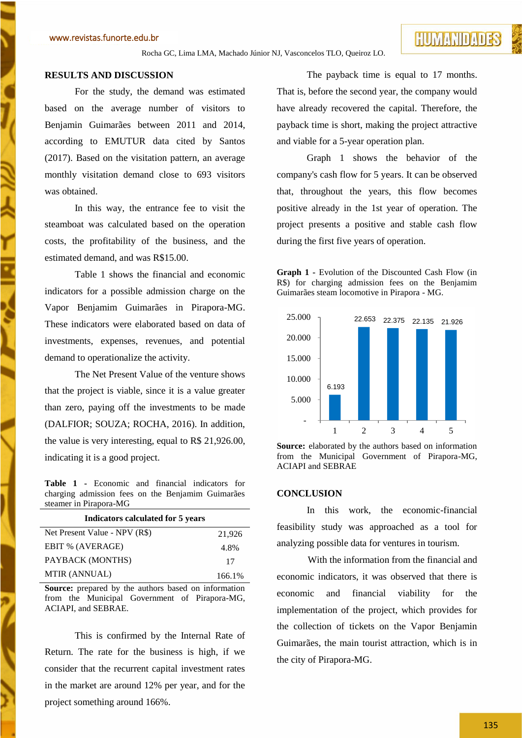# **RESULTS AND DISCUSSION**

For the study, the demand was estimated based on the average number of visitors to Benjamin Guimarães between 2011 and 2014, according to EMUTUR data cited by Santos (2017). Based on the visitation pattern, an average monthly visitation demand close to 693 visitors was obtained.

In this way, the entrance fee to visit the steamboat was calculated based on the operation costs, the profitability of the business, and the estimated demand, and was R\$15.00.

Table 1 shows the financial and economic indicators for a possible admission charge on the Vapor Benjamim Guimarães in Pirapora-MG. These indicators were elaborated based on data of investments, expenses, revenues, and potential demand to operationalize the activity.

The Net Present Value of the venture shows that the project is viable, since it is a value greater than zero, paying off the investments to be made (DALFIOR; SOUZA; ROCHA, 2016). In addition, the value is very interesting, equal to R\$ 21,926.00, indicating it is a good project.

**Table 1 -** Economic and financial indicators for charging admission fees on the Benjamim Guimarães steamer in Pirapora-MG

| Indicators calculated for 5 years |        |
|-----------------------------------|--------|
| Net Present Value - NPV (R\$)     | 21,926 |
| EBIT % (AVERAGE)                  | 4.8%   |
| PAYBACK (MONTHS)                  | 17     |
| MTIR (ANNUAL)                     | 166.1% |

Source: prepared by the authors based on information from the Municipal Government of Pirapora-MG, ACIAPI, and SEBRAE.

This is confirmed by the Internal Rate of Return. The rate for the business is high, if we consider that the recurrent capital investment rates in the market are around 12% per year, and for the project something around 166%.

The payback time is equal to 17 months. That is, before the second year, the company would have already recovered the capital. Therefore, the payback time is short, making the project attractive and viable for a 5-year operation plan.

Graph 1 shows the behavior of the company's cash flow for 5 years. It can be observed that, throughout the years, this flow becomes positive already in the 1st year of operation. The project presents a positive and stable cash flow during the first five years of operation.

**Graph 1 -** Evolution of the Discounted Cash Flow (in R\$) for charging admission fees on the Benjamim Guimarães steam locomotive in Pirapora - MG.



**Source:** elaborated by the authors based on information from the Municipal Government of Pirapora-MG, ACIAPI and SEBRAE

# **CONCLUSION**

In this work, the economic-financial feasibility study was approached as a tool for analyzing possible data for ventures in tourism.

With the information from the financial and economic indicators, it was observed that there is economic and financial viability for the implementation of the project, which provides for the collection of tickets on the Vapor Benjamin Guimarães, the main tourist attraction, which is in the city of Pirapora-MG.